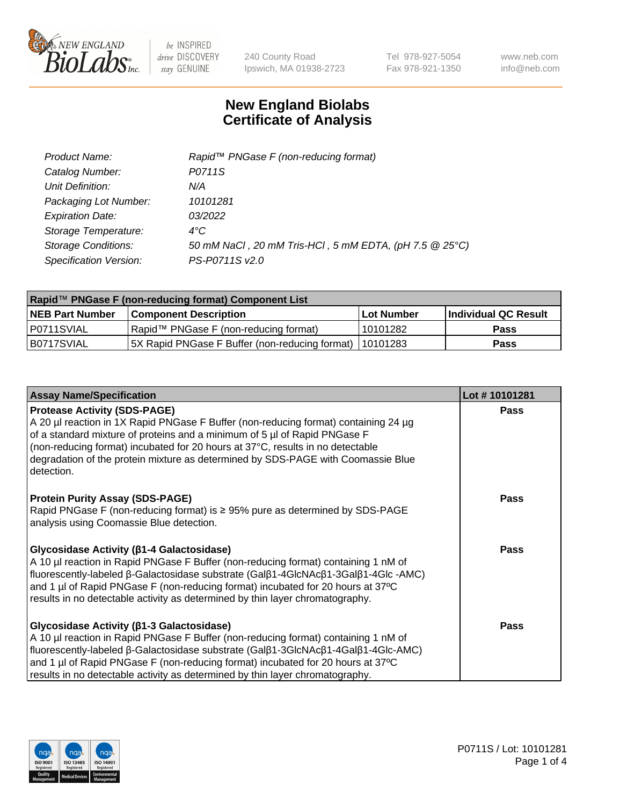

240 County Road Ipswich, MA 01938-2723 Tel 978-927-5054 Fax 978-921-1350 www.neb.com info@neb.com

## **New England Biolabs Certificate of Analysis**

| Product Name:              | Rapid™ PNGase F (non-reducing format)                  |
|----------------------------|--------------------------------------------------------|
| Catalog Number:            | P0711S                                                 |
| Unit Definition:           | N/A                                                    |
| Packaging Lot Number:      | 10101281                                               |
| <b>Expiration Date:</b>    | 03/2022                                                |
| Storage Temperature:       | $4^{\circ}$ C                                          |
| <b>Storage Conditions:</b> | 50 mM NaCl, 20 mM Tris-HCl, 5 mM EDTA, (pH 7.5 @ 25°C) |
| Specification Version:     | PS-P0711S v2.0                                         |

| Rapid™ PNGase F (non-reducing format) Component List |                                                         |             |                      |  |
|------------------------------------------------------|---------------------------------------------------------|-------------|----------------------|--|
| <b>NEB Part Number</b>                               | <b>Component Description</b>                            | ⊺Lot Number | Individual QC Result |  |
| IP0711SVIAL                                          | Rapid™ PNGase F (non-reducing format)                   | l 10101282  | <b>Pass</b>          |  |
| IB0717SVIAL                                          | 5X Rapid PNGase F Buffer (non-reducing format) 10101283 |             | <b>Pass</b>          |  |

| <b>Assay Name/Specification</b>                                                                                                                                                                                                                                                                                                                                                                 | Lot #10101281 |
|-------------------------------------------------------------------------------------------------------------------------------------------------------------------------------------------------------------------------------------------------------------------------------------------------------------------------------------------------------------------------------------------------|---------------|
| <b>Protease Activity (SDS-PAGE)</b><br>A 20 µl reaction in 1X Rapid PNGase F Buffer (non-reducing format) containing 24 µg<br>of a standard mixture of proteins and a minimum of 5 µl of Rapid PNGase F<br>(non-reducing format) incubated for 20 hours at 37°C, results in no detectable<br>degradation of the protein mixture as determined by SDS-PAGE with Coomassie Blue<br>detection.     | <b>Pass</b>   |
| <b>Protein Purity Assay (SDS-PAGE)</b><br>Rapid PNGase F (non-reducing format) is ≥ 95% pure as determined by SDS-PAGE<br>analysis using Coomassie Blue detection.                                                                                                                                                                                                                              | <b>Pass</b>   |
| <b>Glycosidase Activity (β1-4 Galactosidase)</b><br>A 10 µl reaction in Rapid PNGase F Buffer (non-reducing format) containing 1 nM of<br>fluorescently-labeled β-Galactosidase substrate (Galβ1-4GlcNAcβ1-3Galβ1-4Glc-AMC)<br>and 1 µl of Rapid PNGase F (non-reducing format) incubated for 20 hours at 37°C<br>results in no detectable activity as determined by thin layer chromatography. | <b>Pass</b>   |
| <b>Glycosidase Activity (β1-3 Galactosidase)</b><br>A 10 µl reaction in Rapid PNGase F Buffer (non-reducing format) containing 1 nM of<br>fluorescently-labeled β-Galactosidase substrate (Galβ1-3GlcNAcβ1-4Galβ1-4Glc-AMC)<br>and 1 µl of Rapid PNGase F (non-reducing format) incubated for 20 hours at 37°C<br>results in no detectable activity as determined by thin layer chromatography. | <b>Pass</b>   |

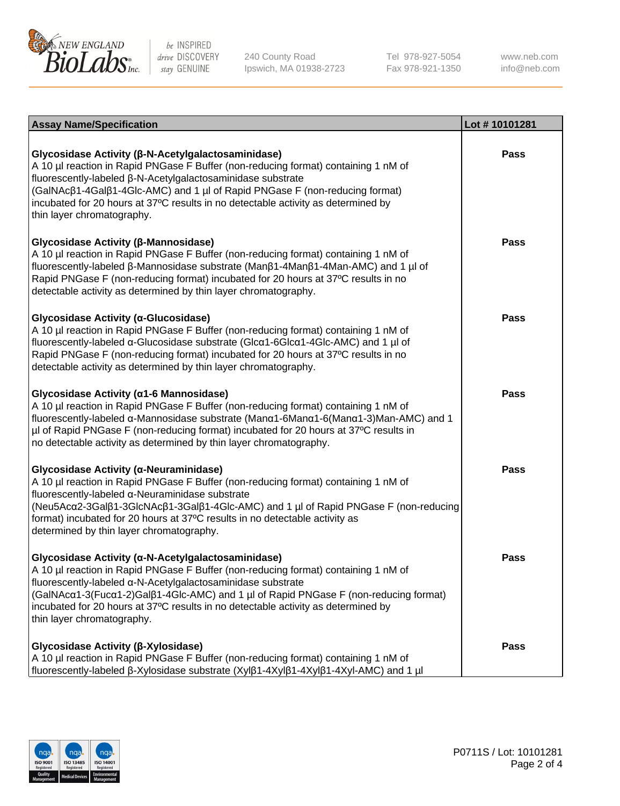

240 County Road Ipswich, MA 01938-2723 Tel 978-927-5054 Fax 978-921-1350 www.neb.com info@neb.com

| <b>Assay Name/Specification</b>                                                                                                                                                                                                                                                                                                                                                                                    | Lot #10101281 |
|--------------------------------------------------------------------------------------------------------------------------------------------------------------------------------------------------------------------------------------------------------------------------------------------------------------------------------------------------------------------------------------------------------------------|---------------|
| Glycosidase Activity (β-N-Acetylgalactosaminidase)<br>A 10 µl reaction in Rapid PNGase F Buffer (non-reducing format) containing 1 nM of<br>fluorescently-labeled β-N-Acetylgalactosaminidase substrate<br>(GalNAcβ1-4Galβ1-4Glc-AMC) and 1 µl of Rapid PNGase F (non-reducing format)<br>incubated for 20 hours at 37°C results in no detectable activity as determined by<br>thin layer chromatography.          | <b>Pass</b>   |
| Glycosidase Activity (β-Mannosidase)<br>A 10 µl reaction in Rapid PNGase F Buffer (non-reducing format) containing 1 nM of<br>fluorescently-labeled β-Mannosidase substrate (Manβ1-4Manβ1-4Man-AMC) and 1 µl of<br>Rapid PNGase F (non-reducing format) incubated for 20 hours at 37°C results in no<br>detectable activity as determined by thin layer chromatography.                                            | <b>Pass</b>   |
| Glycosidase Activity (α-Glucosidase)<br>A 10 µl reaction in Rapid PNGase F Buffer (non-reducing format) containing 1 nM of<br>fluorescently-labeled α-Glucosidase substrate (Glcα1-6Glcα1-4Glc-AMC) and 1 µl of<br>Rapid PNGase F (non-reducing format) incubated for 20 hours at 37°C results in no<br>detectable activity as determined by thin layer chromatography.                                            | <b>Pass</b>   |
| Glycosidase Activity (α1-6 Mannosidase)<br>A 10 µl reaction in Rapid PNGase F Buffer (non-reducing format) containing 1 nM of<br>fluorescently-labeled α-Mannosidase substrate (Manα1-6Manα1-6(Manα1-3)Man-AMC) and 1<br>µl of Rapid PNGase F (non-reducing format) incubated for 20 hours at 37°C results in<br>no detectable activity as determined by thin layer chromatography.                                | <b>Pass</b>   |
| Glycosidase Activity (α-Neuraminidase)<br>A 10 µl reaction in Rapid PNGase F Buffer (non-reducing format) containing 1 nM of<br>fluorescently-labeled α-Neuraminidase substrate<br>(Neu5Acα2-3Galβ1-3GlcNAcβ1-3Galβ1-4Glc-AMC) and 1 µl of Rapid PNGase F (non-reducing<br>format) incubated for 20 hours at 37°C results in no detectable activity as<br>determined by thin layer chromatography.                 | <b>Pass</b>   |
| Glycosidase Activity (α-N-Acetylgalactosaminidase)<br>A 10 µl reaction in Rapid PNGase F Buffer (non-reducing format) containing 1 nM of<br>fluorescently-labeled a-N-Acetylgalactosaminidase substrate<br>(GalNAcα1-3(Fucα1-2)Galß1-4Glc-AMC) and 1 µl of Rapid PNGase F (non-reducing format)<br>incubated for 20 hours at 37°C results in no detectable activity as determined by<br>thin layer chromatography. | <b>Pass</b>   |
| Glycosidase Activity (β-Xylosidase)<br>A 10 µl reaction in Rapid PNGase F Buffer (non-reducing format) containing 1 nM of<br>fluorescently-labeled β-Xylosidase substrate (Xylβ1-4Xylβ1-4Xylβ1-4Xyl-AMC) and 1 µl                                                                                                                                                                                                  | <b>Pass</b>   |

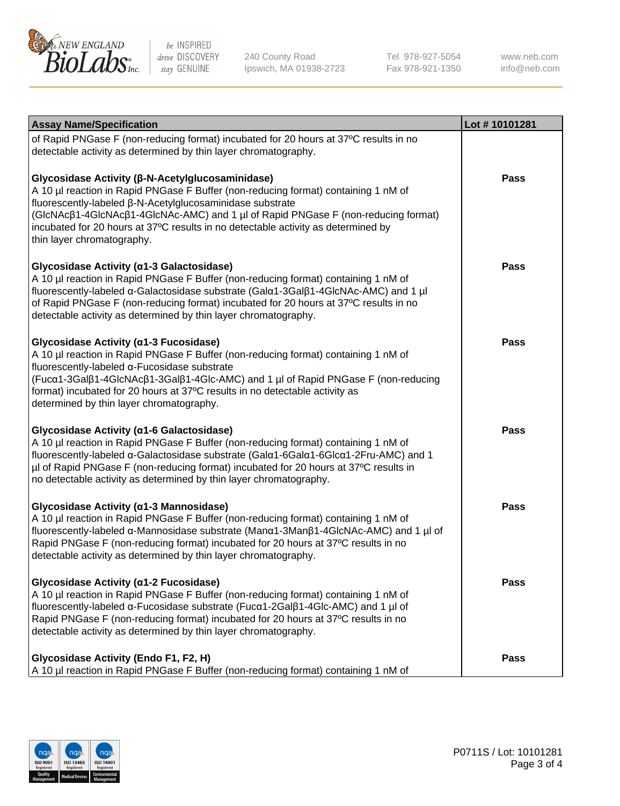

240 County Road Ipswich, MA 01938-2723

Tel 978-927-5054 Fax 978-921-1350

www.neb.com info@neb.com

| <b>Assay Name/Specification</b>                                                                                                                                                                                                                                                                                                                                                                             | Lot #10101281 |
|-------------------------------------------------------------------------------------------------------------------------------------------------------------------------------------------------------------------------------------------------------------------------------------------------------------------------------------------------------------------------------------------------------------|---------------|
| of Rapid PNGase F (non-reducing format) incubated for 20 hours at 37°C results in no<br>detectable activity as determined by thin layer chromatography.                                                                                                                                                                                                                                                     |               |
| Glycosidase Activity (β-N-Acetylglucosaminidase)<br>A 10 µl reaction in Rapid PNGase F Buffer (non-reducing format) containing 1 nM of<br>fluorescently-labeled β-N-Acetylglucosaminidase substrate<br>(GIcNAcβ1-4GIcNAcβ1-4GIcNAc-AMC) and 1 µl of Rapid PNGase F (non-reducing format)<br>incubated for 20 hours at 37°C results in no detectable activity as determined by<br>thin layer chromatography. | <b>Pass</b>   |
| Glycosidase Activity (α1-3 Galactosidase)<br>A 10 µl reaction in Rapid PNGase F Buffer (non-reducing format) containing 1 nM of<br>fluorescently-labeled α-Galactosidase substrate (Galα1-3Galβ1-4GlcNAc-AMC) and 1 µl<br>of Rapid PNGase F (non-reducing format) incubated for 20 hours at 37°C results in no<br>detectable activity as determined by thin layer chromatography.                           | <b>Pass</b>   |
| Glycosidase Activity (α1-3 Fucosidase)<br>A 10 µl reaction in Rapid PNGase F Buffer (non-reducing format) containing 1 nM of<br>fluorescently-labeled α-Fucosidase substrate<br>(Fucα1-3Galβ1-4GlcNAcβ1-3Galβ1-4Glc-AMC) and 1 µl of Rapid PNGase F (non-reducing<br>format) incubated for 20 hours at 37°C results in no detectable activity as<br>determined by thin layer chromatography.                | Pass          |
| Glycosidase Activity (α1-6 Galactosidase)<br>A 10 µl reaction in Rapid PNGase F Buffer (non-reducing format) containing 1 nM of<br>fluorescently-labeled α-Galactosidase substrate (Galα1-6Galα1-6Glcα1-2Fru-AMC) and 1<br>µl of Rapid PNGase F (non-reducing format) incubated for 20 hours at 37°C results in<br>no detectable activity as determined by thin layer chromatography.                       | <b>Pass</b>   |
| Glycosidase Activity (α1-3 Mannosidase)<br>A 10 µl reaction in Rapid PNGase F Buffer (non-reducing format) containing 1 nM of<br>fluorescently-labeled α-Mannosidase substrate (Manα1-3Manβ1-4GlcNAc-AMC) and 1 µl of<br>Rapid PNGase F (non-reducing format) incubated for 20 hours at 37°C results in no<br>detectable activity as determined by thin layer chromatography.                               | <b>Pass</b>   |
| Glycosidase Activity (α1-2 Fucosidase)<br>A 10 µl reaction in Rapid PNGase F Buffer (non-reducing format) containing 1 nM of<br>fluorescently-labeled α-Fucosidase substrate (Fucα1-2Galβ1-4Glc-AMC) and 1 µl of<br>Rapid PNGase F (non-reducing format) incubated for 20 hours at 37°C results in no<br>detectable activity as determined by thin layer chromatography.                                    | <b>Pass</b>   |
| Glycosidase Activity (Endo F1, F2, H)<br>A 10 µl reaction in Rapid PNGase F Buffer (non-reducing format) containing 1 nM of                                                                                                                                                                                                                                                                                 | <b>Pass</b>   |